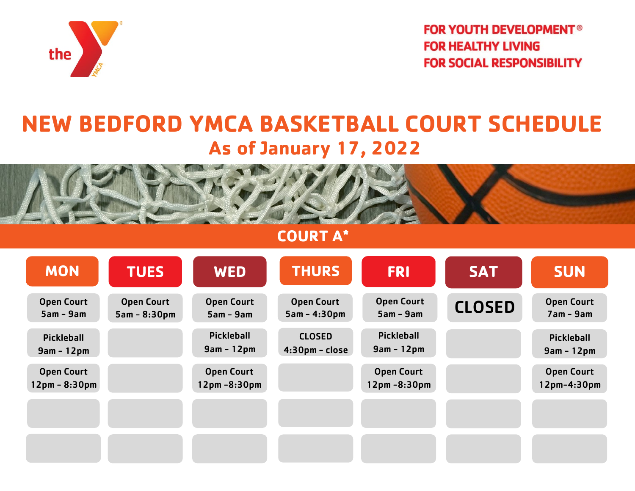

**FOR YOUTH DEVELOPMENT<sup>®</sup> FOR HEALTHY LIVING FOR SOCIAL RESPONSIBILITY** 

## **As of January 17, 2022 NEW BEDFORD YMCA BASKETBALL COURT SCHEDULE**



**COURT A\***

| <b>MON</b>                           | <b>TUES</b>                         | <b>WED</b>                           | <b>THURS</b>                        | <b>FRI</b>                           | <b>SAT</b>    | <b>SUN</b>                        |
|--------------------------------------|-------------------------------------|--------------------------------------|-------------------------------------|--------------------------------------|---------------|-----------------------------------|
| <b>Open Court</b><br>$5am - 9am$     | <b>Open Court</b><br>$5am - 8:30pm$ | <b>Open Court</b><br>$5am - 9am$     | <b>Open Court</b><br>$5am - 4:30pm$ | <b>Open Court</b><br>$5am - 9am$     | <b>CLOSED</b> | <b>Open Court</b><br>$7am - 9am$  |
| <b>Pickleball</b><br>$9am - 12pm$    |                                     | <b>Pickleball</b><br>$9am - 12pm$    | <b>CLOSED</b><br>$4:30pm - close$   | <b>Pickleball</b><br>$9am - 12pm$    |               | <b>Pickleball</b><br>$9am - 12pm$ |
| <b>Open Court</b><br>$12pm - 8:30pm$ |                                     | <b>Open Court</b><br>$12pm - 8:30pm$ |                                     | <b>Open Court</b><br>$12pm - 8:30pm$ |               | <b>Open Court</b><br>12pm-4:30pm  |
|                                      |                                     |                                      |                                     |                                      |               |                                   |
|                                      |                                     |                                      |                                     |                                      |               |                                   |